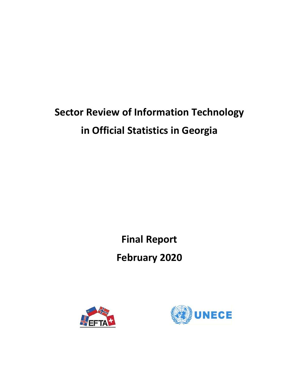# **Sector Review of Information Technology in Official Statistics in Georgia**

**Final Report** 

**February 2020** 



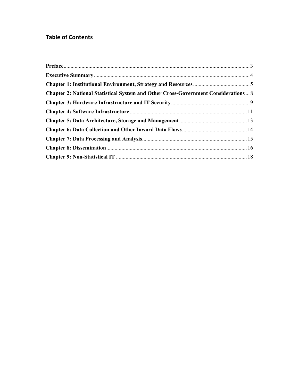# **Table of Contents**

| <b>Chapter 2: National Statistical System and Other Cross-Government Considerations 8</b> |  |
|-------------------------------------------------------------------------------------------|--|
|                                                                                           |  |
|                                                                                           |  |
|                                                                                           |  |
|                                                                                           |  |
|                                                                                           |  |
|                                                                                           |  |
|                                                                                           |  |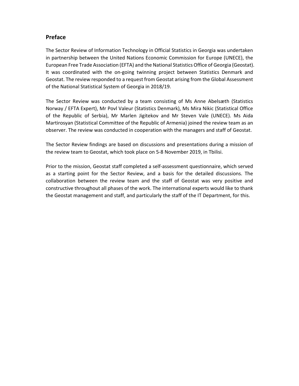## **Preface**

The Sector Review of Information Technology in Official Statistics in Georgia was undertaken in partnership between the United Nations Economic Commission for Europe (UNECE), the European Free Trade Association (EFTA) and the National Statistics Office of Georgia (Geostat). It was coordinated with the on-going twinning project between Statistics Denmark and Geostat. The review responded to a request from Geostat arising from the Global Assessment of the National Statistical System of Georgia in 2018/19.

The Sector Review was conducted by a team consisting of Ms Anne Abelsæth (Statistics Norway / EFTA Expert), Mr Povl Valeur (Statistics Denmark), Ms Mira Nikic (Statistical Office of the Republic of Serbia), Mr Marlen Jigitekov and Mr Steven Vale (UNECE). Ms Aida Martirosyan (Statistical Committee of the Republic of Armenia) joined the review team as an observer. The review was conducted in cooperation with the managers and staff of Geostat.

The Sector Review findings are based on discussions and presentations during a mission of the review team to Geostat, which took place on 5‐8 November 2019, in Tbilisi.

Prior to the mission, Geostat staff completed a self‐assessment questionnaire, which served as a starting point for the Sector Review, and a basis for the detailed discussions. The collaboration between the review team and the staff of Geostat was very positive and constructive throughout all phases of the work. The international experts would like to thank the Geostat management and staff, and particularly the staff of the IT Department, for this.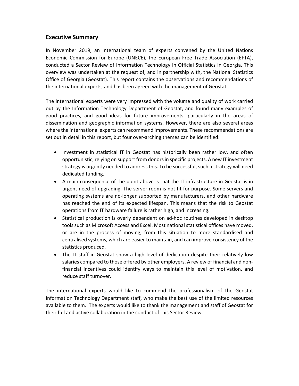## **Executive Summary**

In November 2019, an international team of experts convened by the United Nations Economic Commission for Europe (UNECE), the European Free Trade Association (EFTA), conducted a Sector Review of Information Technology in Official Statistics in Georgia. This overview was undertaken at the request of, and in partnership with, the National Statistics Office of Georgia (Geostat). This report contains the observations and recommendations of the international experts, and has been agreed with the management of Geostat.

The international experts were very impressed with the volume and quality of work carried out by the Information Technology Department of Geostat, and found many examples of good practices, and good ideas for future improvements, particularly in the areas of dissemination and geographic information systems. However, there are also several areas where the international experts can recommend improvements. These recommendations are set out in detail in this report, but four over-arching themes can be identified:

- Investment in statistical IT in Geostat has historically been rather low, and often opportunistic, relying on support from donors in specific projects. A new IT investment strategy is urgently needed to address this. To be successful, such a strategy will need dedicated funding.
- A main consequence of the point above is that the IT infrastructure in Geostat is in urgent need of upgrading. The server room is not fit for purpose. Some servers and operating systems are no‐longer supported by manufacturers, and other hardware has reached the end of its expected lifespan. This means that the risk to Geostat operations from IT hardware failure is rather high, and increasing.
- Statistical production is overly dependent on ad-hoc routines developed in desktop tools such as Microsoft Access and Excel. Most national statistical offices have moved, or are in the process of moving, from this situation to more standardised and centralised systems, which are easier to maintain, and can improve consistency of the statistics produced.
- The IT staff in Geostat show a high level of dedication despite their relatively low salaries compared to those offered by other employers. A review of financial and non‐ financial incentives could identify ways to maintain this level of motivation, and reduce staff turnover.

The international experts would like to commend the professionalism of the Geostat Information Technology Department staff, who make the best use of the limited resources available to them. The experts would like to thank the management and staff of Geostat for their full and active collaboration in the conduct of this Sector Review.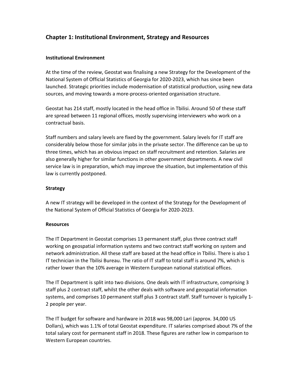## **Chapter 1: Institutional Environment, Strategy and Resources**

#### **Institutional Environment**

At the time of the review, Geostat was finalising a new Strategy for the Development of the National System of Official Statistics of Georgia for 2020‐2023, which has since been launched. Strategic priorities include modernisation of statistical production, using new data sources, and moving towards a more‐process‐oriented organisation structure.

Geostat has 214 staff, mostly located in the head office in Tbilisi. Around 50 of these staff are spread between 11 regional offices, mostly supervising interviewers who work on a contractual basis.

Staff numbers and salary levels are fixed by the government. Salary levels for IT staff are considerably below those for similar jobs in the private sector. The difference can be up to three times, which has an obvious impact on staff recruitment and retention. Salaries are also generally higher for similar functions in other government departments. A new civil service law is in preparation, which may improve the situation, but implementation of this law is currently postponed.

#### **Strategy**

A new IT strategy will be developed in the context of the Strategy for the Development of the National System of Official Statistics of Georgia for 2020‐2023.

#### **Resources**

The IT Department in Geostat comprises 13 permanent staff, plus three contract staff working on geospatial information systems and two contract staff working on system and network administration. All these staff are based at the head office in Tbilisi. There is also 1 IT technician in the Tbilisi Bureau. The ratio of IT staff to total staff is around 7%, which is rather lower than the 10% average in Western European national statistical offices.

The IT Department is split into two divisions. One deals with IT infrastructure, comprising 3 staff plus 2 contract staff, whilst the other deals with software and geospatial information systems, and comprises 10 permanent staff plus 3 contract staff. Staff turnover is typically 1-2 people per year.

The IT budget for software and hardware in 2018 was 98,000 Lari (approx. 34,000 US Dollars), which was 1.1% of total Geostat expenditure. IT salaries comprised about 7% of the total salary cost for permanent staff in 2018. These figures are rather low in comparison to Western European countries.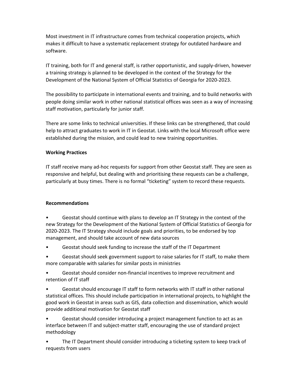Most investment in IT infrastructure comes from technical cooperation projects, which makes it difficult to have a systematic replacement strategy for outdated hardware and software.

IT training, both for IT and general staff, is rather opportunistic, and supply‐driven, however a training strategy is planned to be developed in the context of the Strategy for the Development of the National System of Official Statistics of Georgia for 2020‐2023.

The possibility to participate in international events and training, and to build networks with people doing similar work in other national statistical offices was seen as a way of increasing staff motivation, particularly for junior staff.

There are some links to technical universities. If these links can be strengthened, that could help to attract graduates to work in IT in Geostat. Links with the local Microsoft office were established during the mission, and could lead to new training opportunities.

#### **Working Practices**

IT staff receive many ad‐hoc requests for support from other Geostat staff. They are seen as responsive and helpful, but dealing with and prioritising these requests can be a challenge, particularly at busy times. There is no formal "ticketing" system to record these requests.

#### **Recommendations**

• Geostat should continue with plans to develop an IT Strategy in the context of the new Strategy for the Development of the National System of Official Statistics of Georgia for 2020‐2023. The IT Strategy should include goals and priorities, to be endorsed by top management, and should take account of new data sources

• Geostat should seek funding to increase the staff of the IT Department

• Geostat should seek government support to raise salaries for IT staff, to make them more comparable with salaries for similar posts in ministries

• Geostat should consider non‐financial incentives to improve recruitment and retention of IT staff

• Geostat should encourage IT staff to form networks with IT staff in other national statistical offices. This should include participation in international projects, to highlight the good work in Geostat in areas such as GIS, data collection and dissemination, which would provide additional motivation for Geostat staff

• Geostat should consider introducing a project management function to act as an interface between IT and subject-matter staff, encouraging the use of standard project methodology

• The IT Department should consider introducing a ticketing system to keep track of requests from users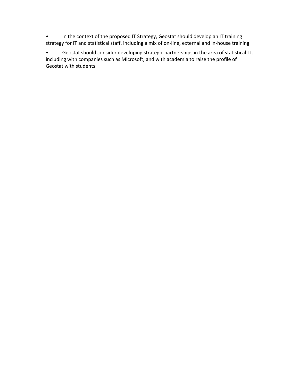• In the context of the proposed IT Strategy, Geostat should develop an IT training strategy for IT and statistical staff, including a mix of on‐line, external and in‐house training

• Geostat should consider developing strategic partnerships in the area of statistical IT, including with companies such as Microsoft, and with academia to raise the profile of Geostat with students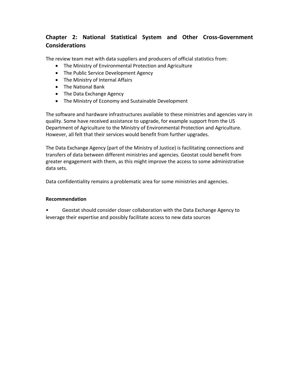## **Chapter 2: National Statistical System and Other Cross‐Government Considerations**

The review team met with data suppliers and producers of official statistics from:

- The Ministry of Environmental Protection and Agriculture
- The Public Service Development Agency
- The Ministry of Internal Affairs
- The National Bank
- The Data Exchange Agency
- The Ministry of Economy and Sustainable Development

The software and hardware infrastructures available to these ministries and agencies vary in quality. Some have received assistance to upgrade, for example support from the US Department of Agriculture to the Ministry of Environmental Protection and Agriculture. However, all felt that their services would benefit from further upgrades.

The Data Exchange Agency (part of the Ministry of Justice) is facilitating connections and transfers of data between different ministries and agencies. Geostat could benefit from greater engagement with them, as this might improve the access to some administrative data sets.

Data confidentiality remains a problematic area for some ministries and agencies.

#### **Recommendation**

• Geostat should consider closer collaboration with the Data Exchange Agency to leverage their expertise and possibly facilitate access to new data sources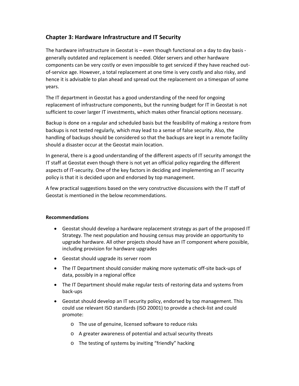## **Chapter 3: Hardware Infrastructure and IT Security**

The hardware infrastructure in Geostat is – even though functional on a day to day basis ‐ generally outdated and replacement is needed. Older servers and other hardware components can be very costly or even impossible to get serviced if they have reached out‐ of-service age. However, a total replacement at one time is very costly and also risky, and hence it is advisable to plan ahead and spread out the replacement on a timespan of some years.

The IT department in Geostat has a good understanding of the need for ongoing replacement of infrastructure components, but the running budget for IT in Geostat is not sufficient to cover larger IT investments, which makes other financial options necessary.

Backup is done on a regular and scheduled basis but the feasibility of making a restore from backups is not tested regularly, which may lead to a sense of false security. Also, the handling of backups should be considered so that the backups are kept in a remote facility should a disaster occur at the Geostat main location.

In general, there is a good understanding of the different aspects of IT security amongst the IT staff at Geostat even though there is not yet an official policy regarding the different aspects of IT‐security. One of the key factors in deciding and implementing an IT security policy is that it is decided upon and endorsed by top management.

A few practical suggestions based on the very constructive discussions with the IT staff of Geostat is mentioned in the below recommendations.

- Geostat should develop a hardware replacement strategy as part of the proposed IT Strategy. The next population and housing census may provide an opportunity to upgrade hardware. All other projects should have an IT component where possible, including provision for hardware upgrades
- Geostat should upgrade its server room
- The IT Department should consider making more systematic off‐site back‐ups of data, possibly in a regional office
- The IT Department should make regular tests of restoring data and systems from back‐ups
- Geostat should develop an IT security policy, endorsed by top management. This could use relevant ISO standards (ISO 20001) to provide a check‐list and could promote:
	- o The use of genuine, licensed software to reduce risks
	- o A greater awareness of potential and actual security threats
	- o The testing of systems by inviting "friendly" hacking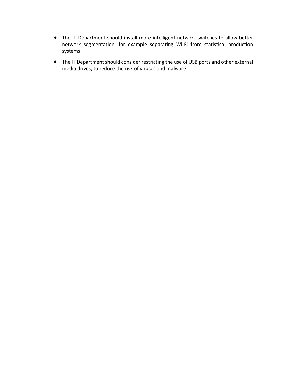- The IT Department should install more intelligent network switches to allow better network segmentation, for example separating Wi‐Fi from statistical production systems
- The IT Department should consider restricting the use of USB ports and other external media drives, to reduce the risk of viruses and malware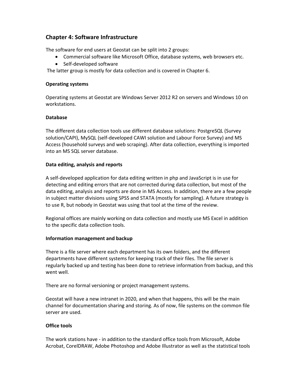## **Chapter 4: Software Infrastructure**

The software for end users at Geostat can be split into 2 groups:

- Commercial software like Microsoft Office, database systems, web browsers etc.
- Self-developed software

The latter group is mostly for data collection and is covered in Chapter 6.

#### **Operating systems**

Operating systems at Geostat are Windows Server 2012 R2 on servers and Windows 10 on workstations.

#### **Database**

The different data collection tools use different database solutions: PostgreSQL (Survey solution/CAPI), MySQL (self‐developed CAWI solution and Labour Force Survey) and MS Access (household surveys and web scraping). After data collection, everything is imported into an MS SQL server database.

#### **Data editing, analysis and reports**

A self‐developed application for data editing written in php and JavaScript is in use for detecting and editing errors that are not corrected during data collection, but most of the data editing, analysis and reports are done in MS Access. In addition, there are a few people in subject matter divisions using SPSS and STATA (mostly for sampling). A future strategy is to use R, but nobody in Geostat was using that tool at the time of the review.

Regional offices are mainly working on data collection and mostly use MS Excel in addition to the specific data collection tools.

#### **Information management and backup**

There is a file server where each department has its own folders, and the different departments have different systems for keeping track of their files. The file server is regularly backed up and testing has been done to retrieve information from backup, and this went well.

There are no formal versioning or project management systems.

Geostat will have a new intranet in 2020, and when that happens, this will be the main channel for documentation sharing and storing. As of now, file systems on the common file server are used.

#### **Office tools**

The work stations have ‐ in addition to the standard office tools from Microsoft, Adobe Acrobat, CorelDRAW, Adobe Photoshop and Adobe Illustrator as well as the statistical tools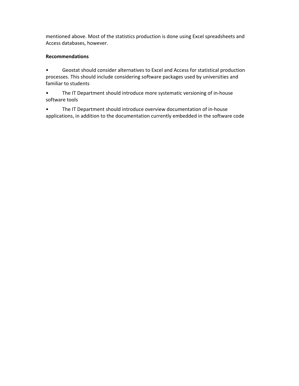mentioned above. Most of the statistics production is done using Excel spreadsheets and Access databases, however.

#### **Recommendations**

• Geostat should consider alternatives to Excel and Access for statistical production processes. This should include considering software packages used by universities and familiar to students

• The IT Department should introduce more systematic versioning of in-house software tools

• The IT Department should introduce overview documentation of in‐house applications, in addition to the documentation currently embedded in the software code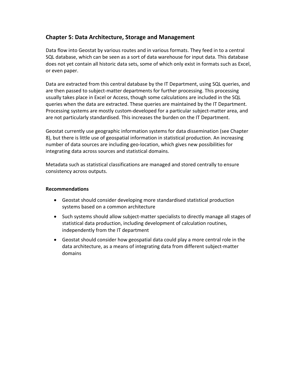## **Chapter 5: Data Architecture, Storage and Management**

Data flow into Geostat by various routes and in various formats. They feed in to a central SQL database, which can be seen as a sort of data warehouse for input data. This database does not yet contain all historic data sets, some of which only exist in formats such as Excel, or even paper.

Data are extracted from this central database by the IT Department, using SQL queries, and are then passed to subject-matter departments for further processing. This processing usually takes place in Excel or Access, though some calculations are included in the SQL queries when the data are extracted. These queries are maintained by the IT Department. Processing systems are mostly custom-developed for a particular subject-matter area, and are not particularly standardised. This increases the burden on the IT Department.

Geostat currently use geographic information systems for data dissemination (see Chapter 8), but there is little use of geospatial information in statistical production. An increasing number of data sources are including geo‐location, which gives new possibilities for integrating data across sources and statistical domains.

Metadata such as statistical classifications are managed and stored centrally to ensure consistency across outputs.

- Geostat should consider developing more standardised statistical production systems based on a common architecture
- Such systems should allow subject-matter specialists to directly manage all stages of statistical data production, including development of calculation routines, independently from the IT department
- Geostat should consider how geospatial data could play a more central role in the data architecture, as a means of integrating data from different subject‐matter domains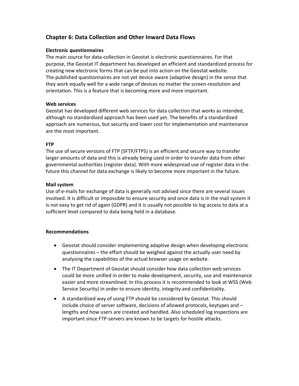## **Chapter 6: Data Collection and Other Inward Data Flows**

#### **Electronic questionnaires**

The main source for data‐collection in Geostat is electronic questionnaires. For that purpose, the Geostat IT department has developed an efficient and standardized process for creating new electronic forms that can be put into action on the Geostat website. The published questionnaires are not yet device aware (adaptive design) in the sense that they work equally well for a wide range of devices no matter the screen‐resolution and orientation. This is a feature that is becoming more and more important.

#### **Web services**

Geostat has developed different web services for data collection that works as intended, although no standardized approach has been used yet. The benefits of a standardized approach are numerous, but security and lower cost for implementation and maintenance are the most important.

#### **FTP**

The use of secure versions of FTP (SFTP/FTPS) is an efficient and secure way to transfer larger amounts of data and this is already being used in order to transfer data from other governmental authorities (register data). With more widespread use of register data in the future this channel for data exchange is likely to become more important in the future.

#### **Mail system**

Use of e‐mails for exchange of data is generally not advised since there are several issues involved. It is difficult or impossible to ensure security and once data is in the mail system it is not easy to get rid of again (GDPR) and it is usually not possible to log access to data at a sufficient level compared to data being held in a database.

- Geostat should consider implementing adaptive design when developing electronic questionnaires – the effort should be weighed against the actually user need by analysing the capabilities of the actual browser usage on website.
- The IT Department of Geostat should consider how data collection web services could be more unified in order to make development, security, use and maintenance easier and more streamlined. In this process it is recommended to look at WSS (Web Service Security) in order to ensure identity, integrity and confidentiality.
- A standardized way of using FTP should be considered by Geostat. This should include choice of server software, decisions of allowed protocols, keytypes and – lengths and how users are created and handled. Also scheduled log inspections are important since FTP‐servers are known to be targets for hostile attacks.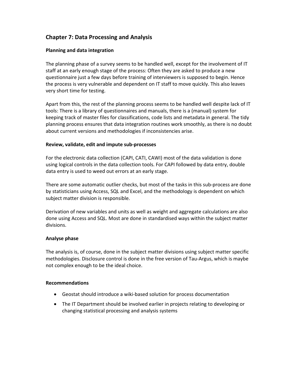## **Chapter 7: Data Processing and Analysis**

#### **Planning and data integration**

The planning phase of a survey seems to be handled well, except for the involvement of IT staff at an early enough stage of the process: Often they are asked to produce a new questionnaire just a few days before training of interviewers is supposed to begin. Hence the process is very vulnerable and dependent on IT staff to move quickly. This also leaves very short time for testing.

Apart from this, the rest of the planning process seems to be handled well despite lack of IT tools: There is a library of questionnaires and manuals, there is a (manual) system for keeping track of master files for classifications, code lists and metadata in general. The tidy planning process ensures that data integration routines work smoothly, as there is no doubt about current versions and methodologies if inconsistencies arise.

#### **Review, validate, edit and impute sub‐processes**

For the electronic data collection (CAPI, CATI, CAWI) most of the data validation is done using logical controls in the data collection tools. For CAPI followed by data entry, double data entry is used to weed out errors at an early stage.

There are some automatic outlier checks, but most of the tasks in this sub-process are done by statisticians using Access, SQL and Excel, and the methodology is dependent on which subject matter division is responsible.

Derivation of new variables and units as well as weight and aggregate calculations are also done using Access and SQL. Most are done in standardised ways within the subject matter divisions.

#### **Analyse phase**

The analysis is, of course, done in the subject matter divisions using subject matter specific methodologies. Disclosure control is done in the free version of Tau‐Argus, which is maybe not complex enough to be the ideal choice.

- Geostat should introduce a wiki-based solution for process documentation
- The IT Department should be involved earlier in projects relating to developing or changing statistical processing and analysis systems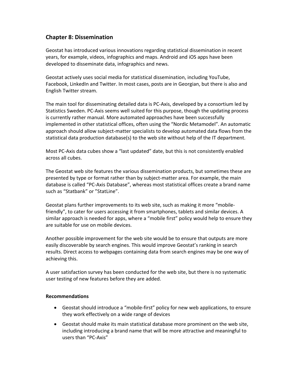## **Chapter 8: Dissemination**

Geostat has introduced various innovations regarding statistical dissemination in recent years, for example, videos, infographics and maps. Android and iOS apps have been developed to disseminate data, infographics and news.

Geostat actively uses social media for statistical dissemination, including YouTube, Facebook, LinkedIn and Twitter. In most cases, posts are in Georgian, but there is also and English Twitter stream.

The main tool for disseminating detailed data is PC‐Axis, developed by a consortium led by Statistics Sweden. PC‐Axis seems well suited for this purpose, though the updating process is currently rather manual. More automated approaches have been successfully implemented in other statistical offices, often using the "Nordic Metamodel". An automatic approach should allow subject‐matter specialists to develop automated data flows from the statistical data production database(s) to the web site without help of the IT department.

Most PC‐Axis data cubes show a "last updated" date, but this is not consistently enabled across all cubes.

The Geostat web site features the various dissemination products, but sometimes these are presented by type or format rather than by subject‐matter area. For example, the main database is called "PC‐Axis Database", whereas most statistical offices create a brand name such as "Statbank" or "StatLine".

Geostat plans further improvements to its web site, such as making it more "mobile‐ friendly", to cater for users accessing it from smartphones, tablets and similar devices. A similar approach is needed for apps, where a "mobile first" policy would help to ensure they are suitable for use on mobile devices.

Another possible improvement for the web site would be to ensure that outputs are more easily discoverable by search engines. This would improve Geostat's ranking in search results. Direct access to webpages containing data from search engines may be one way of achieving this.

A user satisfaction survey has been conducted for the web site, but there is no systematic user testing of new features before they are added.

- Geostat should introduce a "mobile-first" policy for new web applications, to ensure they work effectively on a wide range of devices
- Geostat should make its main statistical database more prominent on the web site, including introducing a brand name that will be more attractive and meaningful to users than "PC‐Axis"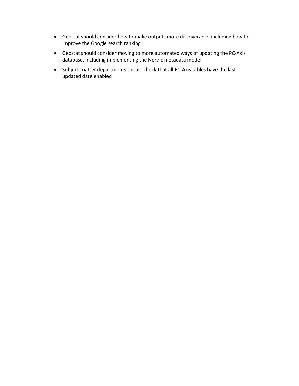- Geostat should consider how to make outputs more discoverable, including how to improve the Google search ranking
- Geostat should consider moving to more automated ways of updating the PC‐Axis database, including implementing the Nordic metadata model
- Subject-matter departments should check that all PC-Axis tables have the last updated date enabled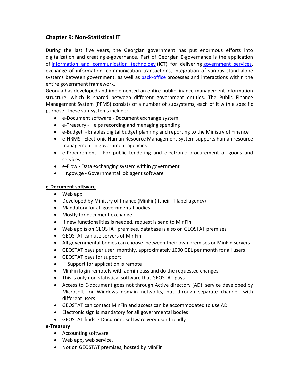## **Chapter 9: Non‐Statistical IT**

During the last five years, the Georgian government has put enormous efforts into digitalization and creating e‐governance. Part of Georgian E‐governance is the application of information and communication technology (ICT) for delivering government services, exchange of information, communication transactions, integration of various stand-alone systems between government, as well as back-office processes and interactions within the entire government framework.

Georgia has developed and implemented an entire public finance management information structure, which is shared between different government entities. The Public Finance Management System (PFMS) consists of a number of subsystems, each of it with a specific purpose. These sub‐systems include:

- e-Document software Document exchange system
- e-Treasury Helps recording and managing spending
- e-Budget Enables digital budget planning and reporting to the Ministry of Finance
- e-HRMS Electronic Human Resource Management System supports human resource management in government agencies
- e-Procurement For public tendering and electronic procurement of goods and services
- e-Flow Data exchanging system within government
- Hr.gov.ge Governmental job agent software

#### **e‐Document software**

- Web app
- Developed by Ministry of finance (MinFin) (their IT lapel agency)
- Mandatory for all governmental bodies
- Mostly for document exchange
- If new functionalities is needed, request is send to MinFin
- Web app is on GEOSTAT premises, database is also on GEOSTAT premises
- GEOSTAT can use servers of MinFin
- All governmental bodies can choose between their own premises or MinFin servers
- GEOSTAT pays per user, monthly, approximately 1000 GEL per month for all users
- GEOSTAT pays for support
- IT Support for application is remote
- MinFin login remotely with admin pass and do the requested changes
- This is only non‐statistical software that GEOSTAT pays
- Access to E‐document goes not through Active directory (AD), service developed by Microsoft for Windows domain networks, but through separate channel, with different users
- GEOSTAT can contact MinFin and access can be accommodated to use AD
- Electronic sign is mandatory for all governmental bodies
- GEOSTAT finds e‐Document software very user friendly

#### **e‐Treasury**

- Accounting software
- Web app, web service,
- Not on GEOSTAT premises, hosted by MinFin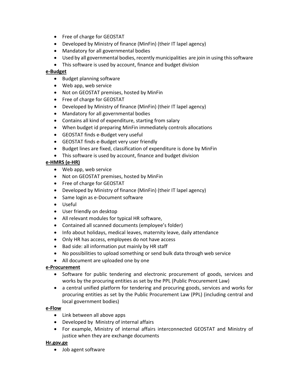- Free of charge for GEOSTAT
- Developed by Ministry of finance (MinFin) (their IT lapel agency)
- Mandatory for all governmental bodies
- Used by all governmental bodies, recently municipalities are join in using this software
- This software is used by account, finance and budget division

#### **e‐Budget**

- Budget planning software
- Web app, web service
- Not on GEOSTAT premises, hosted by MinFin
- Free of charge for GEOSTAT
- Developed by Ministry of finance (MinFin) (their IT lapel agency)
- Mandatory for all governmental bodies
- Contains all kind of expenditure, starting from salary
- When budget id preparing MinFin immediately controls allocations
- GEOSTAT finds e-Budget very useful
- GEOSTAT finds e-Budget very user friendly
- Budget lines are fixed, classification of expenditure is done by MinFin
- This software is used by account, finance and budget division

### **e‐HMRS (e‐HR)**

- Web app, web service
- Not on GEOSTAT premises, hosted by MinFin
- Free of charge for GEOSTAT
- Developed by Ministry of finance (MinFin) (their IT lapel agency)
- Same login as e-Document software
- Useful
- User friendly on desktop
- All relevant modules for typical HR software,
- Contained all scanned documents (employee's folder)
- Info about holidays, medical leaves, maternity leave, daily attendance
- Only HR has access, employees do not have access
- Bad side: all information put mainly by HR staff
- No possibilities to upload something or send bulk data through web service
- All document are uploaded one by one

#### **e‐Procurement**

- Software for public tendering and electronic procurement of goods, services and works by the procuring entities as set by the PPL (Public Procurement Law)
- a central unified platform for tendering and procuring goods, services and works for procuring entities as set by the Public Procurement Law (PPL) (including central and local government bodies)

#### **e‐Flow**

- Link between all above apps
- Developed by Ministry of internal affairs
- For example, Ministry of internal affairs interconnected GEOSTAT and Ministry of justice when they are exchange documents

#### **Hr.gov.ge**

• Job agent software